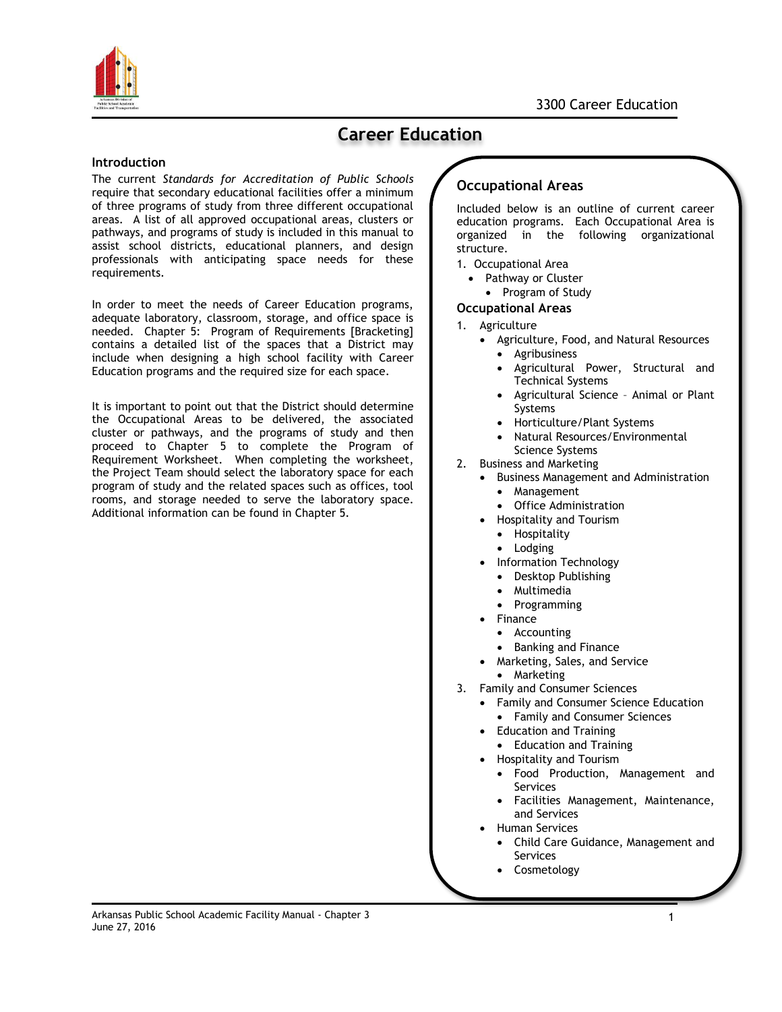

# **Career Education**

### **Introduction**

The current *Standards for Accreditation of Public Schools* require that secondary educational facilities offer a minimum of three programs of study from three different occupational areas. A list of all approved occupational areas, clusters or pathways, and programs of study is included in this manual to assist school districts, educational planners, and design professionals with anticipating space needs for these requirements.

In order to meet the needs of Career Education programs, adequate laboratory, classroom, storage, and office space is needed. Chapter 5: Program of Requirements [Bracketing] contains a detailed list of the spaces that a District may include when designing a high school facility with Career Education programs and the required size for each space.

It is important to point out that the District should determine the Occupational Areas to be delivered, the associated cluster or pathways, and the programs of study and then proceed to Chapter 5 to complete the Program of Requirement Worksheet. When completing the worksheet, the Project Team should select the laboratory space for each program of study and the related spaces such as offices, tool rooms, and storage needed to serve the laboratory space. Additional information can be found in Chapter 5.

## **Occupational Areas**

Included below is an outline of current career education programs. Each Occupational Area is organized in the following organizational structure.

- 1. Occupational Area
	- Pathway or Cluster
	- Program of Study

#### **Occupational Areas**

- 1. Agriculture
	- Agriculture, Food, and Natural Resources
	- Agribusiness
		- Agricultural Power, Structural and Technical Systems
		- Agricultural Science Animal or Plant Systems
		- Horticulture/Plant Systems
		- Natural Resources/Environmental Science Systems
- 2. Business and Marketing
	- **•** Business Management and Administration
		- Management
		- Office Administration
	- Hospitality and Tourism
		- Hospitality
		- Lodging
	- Information Technology
		- Desktop Publishing
		- Multimedia
		- Programming
	- Finance
		- Accounting
		- Banking and Finance
	- Marketing, Sales, and Service
	- Marketing
- 3. Family and Consumer Sciences
	- Family and Consumer Science Education
		- Family and Consumer Sciences
	- Education and Training
		- Education and Training
	- Hospitality and Tourism
		- Food Production, Management and Services
		- Facilities Management, Maintenance, and Services
	- Human Services
		- Child Care Guidance, Management and Services
		- Cosmetology